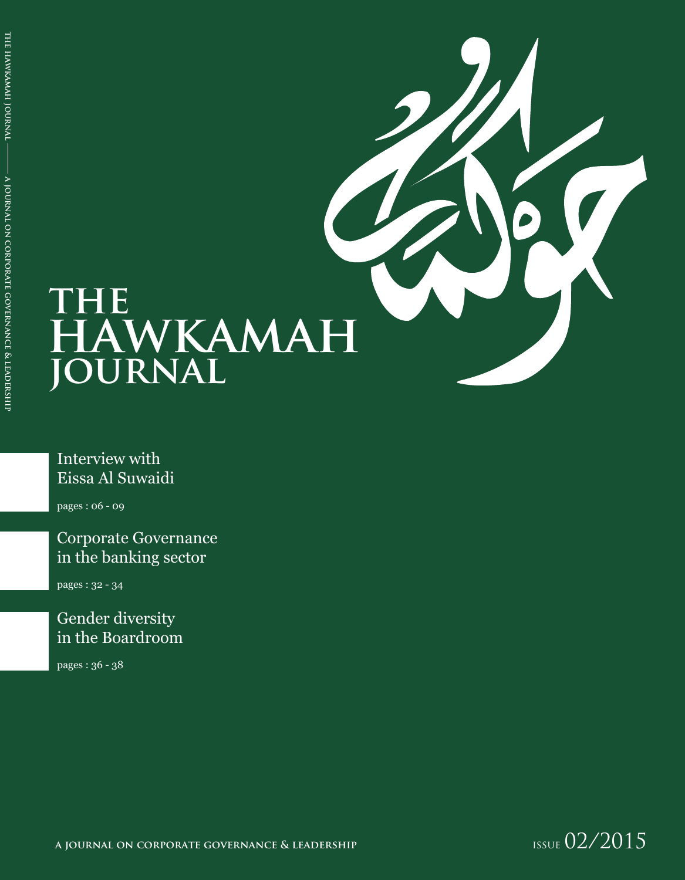## **the hawkamah journal**

Interview with Eissa Al Suwaidi

pages : 06 - 09

Corporate Governance in the banking sector

pages : 32 - 34

Gender diversity in the Boardroom

pages : 36 - 38

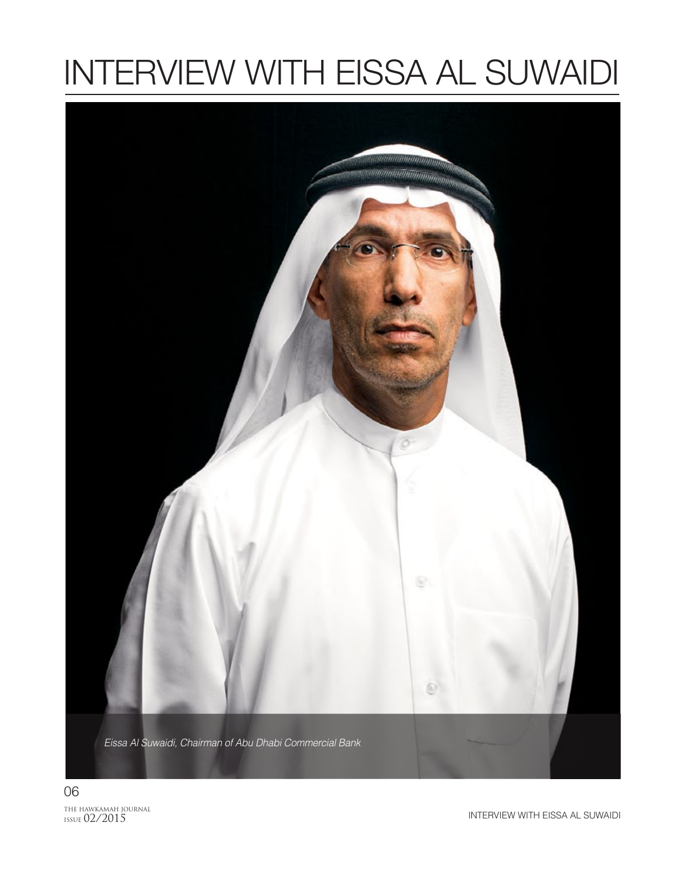## INTERVIEW WITH EISSA AL SUWAIDI





THE HAWKAMAH JOURNAL<br>ISSUE 02/2015

INTERVIEW WITH EISSA AL SUWAIDI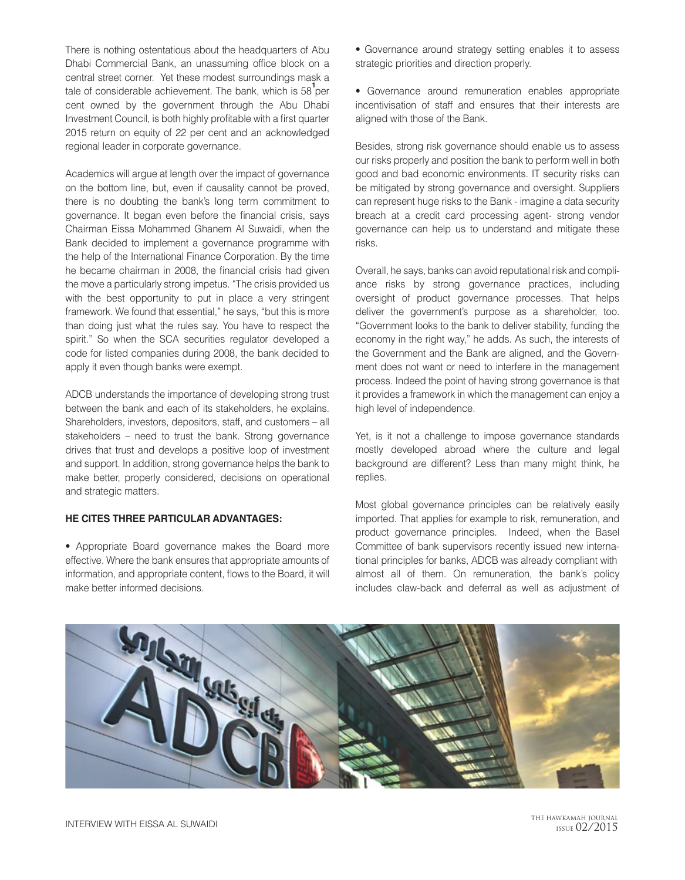There is nothing ostentatious about the headquarters of Abu Dhabi Commercial Bank, an unassuming office block on a central street corner. Yet these modest surroundings mask a tale of considerable achievement. The bank, which is 58<sup>1</sup>per cent owned by the government through the Abu Dhabi Investment Council, is both highly profitable with a first quarter 2015 return on equity of 22 per cent and an acknowledged regional leader in corporate governance.

Academics will argue at length over the impact of governance on the bottom line, but, even if causality cannot be proved, there is no doubting the bank's long term commitment to governance. It began even before the financial crisis, says Chairman Eissa Mohammed Ghanem Al Suwaidi, when the Bank decided to implement a governance programme with the help of the International Finance Corporation. By the time he became chairman in 2008, the financial crisis had given the move a particularly strong impetus. "The crisis provided us with the best opportunity to put in place a very stringent framework. We found that essential," he says, "but this is more than doing just what the rules say. You have to respect the spirit." So when the SCA securities regulator developed a code for listed companies during 2008, the bank decided to apply it even though banks were exempt.

ADCB understands the importance of developing strong trust between the bank and each of its stakeholders, he explains. Shareholders, investors, depositors, staff, and customers – all stakeholders – need to trust the bank. Strong governance drives that trust and develops a positive loop of investment and support. In addition, strong governance helps the bank to make better, properly considered, decisions on operational and strategic matters.

## **HE CITES THREE PARTICULAR ADVANTAGES:**

• Appropriate Board governance makes the Board more effective. Where the bank ensures that appropriate amounts of information, and appropriate content, flows to the Board, it will make better informed decisions.

• Governance around strategy setting enables it to assess strategic priorities and direction properly.

• Governance around remuneration enables appropriate incentivisation of staff and ensures that their interests are aligned with those of the Bank.

Besides, strong risk governance should enable us to assess our risks properly and position the bank to perform well in both good and bad economic environments. IT security risks can be mitigated by strong governance and oversight. Suppliers can represent huge risks to the Bank - imagine a data security breach at a credit card processing agent- strong vendor governance can help us to understand and mitigate these risks.

Overall, he says, banks can avoid reputational risk and compliance risks by strong governance practices, including oversight of product governance processes. That helps deliver the government's purpose as a shareholder, too. "Government looks to the bank to deliver stability, funding the economy in the right way," he adds. As such, the interests of the Government and the Bank are aligned, and the Government does not want or need to interfere in the management process. Indeed the point of having strong governance is that it provides a framework in which the management can enjoy a high level of independence.

Yet, is it not a challenge to impose governance standards mostly developed abroad where the culture and legal background are different? Less than many might think, he replies.

Most global governance principles can be relatively easily imported. That applies for example to risk, remuneration, and product governance principles. Indeed, when the Basel Committee of bank supervisors recently issued new international principles for banks, ADCB was already compliant with almost all of them. On remuneration, the bank's policy includes claw-back and deferral as well as adjustment of

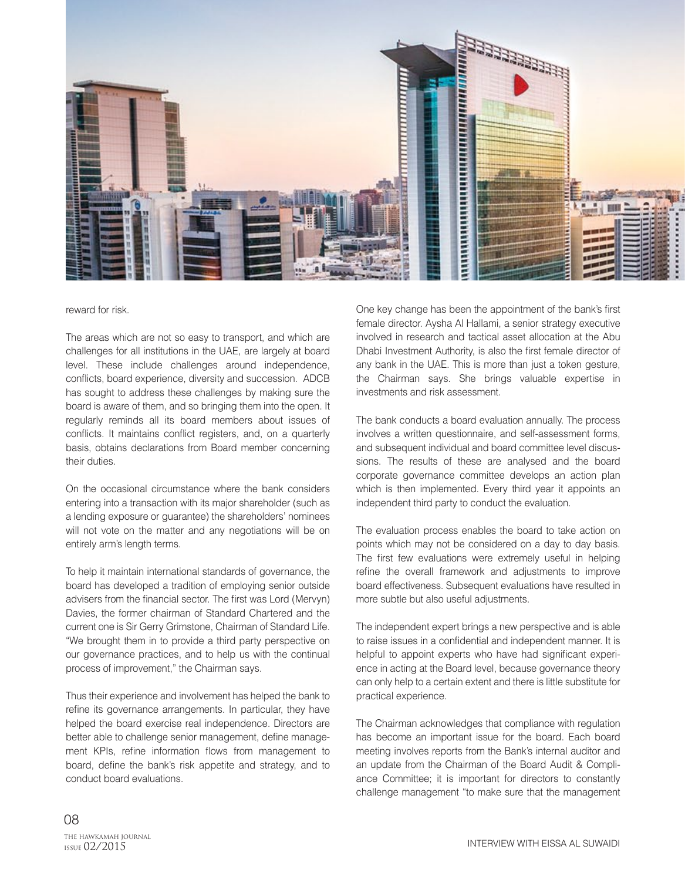

reward for risk.

The areas which are not so easy to transport, and which are challenges for all institutions in the UAE, are largely at board level. These include challenges around independence, conflicts, board experience, diversity and succession. ADCB has sought to address these challenges by making sure the board is aware of them, and so bringing them into the open. It regularly reminds all its board members about issues of conflicts. It maintains conflict registers, and, on a quarterly basis, obtains declarations from Board member concerning their duties.

On the occasional circumstance where the bank considers entering into a transaction with its major shareholder (such as a lending exposure or guarantee) the shareholders' nominees will not vote on the matter and any negotiations will be on entirely arm's length terms.

To help it maintain international standards of governance, the board has developed a tradition of employing senior outside advisers from the financial sector. The first was Lord (Mervyn) Davies, the former chairman of Standard Chartered and the current one is Sir Gerry Grimstone, Chairman of Standard Life. "We brought them in to provide a third party perspective on our governance practices, and to help us with the continual process of improvement," the Chairman says.

Thus their experience and involvement has helped the bank to refine its governance arrangements. In particular, they have helped the board exercise real independence. Directors are better able to challenge senior management, define management KPIs, refine information flows from management to board, define the bank's risk appetite and strategy, and to conduct board evaluations.

One key change has been the appointment of the bank's first female director. Aysha Al Hallami, a senior strategy executive involved in research and tactical asset allocation at the Abu Dhabi Investment Authority, is also the first female director of any bank in the UAE. This is more than just a token gesture, the Chairman says. She brings valuable expertise in investments and risk assessment.

The bank conducts a board evaluation annually. The process involves a written questionnaire, and self-assessment forms, and subsequent individual and board committee level discussions. The results of these are analysed and the board corporate governance committee develops an action plan which is then implemented. Every third year it appoints an independent third party to conduct the evaluation.

The evaluation process enables the board to take action on points which may not be considered on a day to day basis. The first few evaluations were extremely useful in helping refine the overall framework and adjustments to improve board effectiveness. Subsequent evaluations have resulted in more subtle but also useful adjustments.

The independent expert brings a new perspective and is able to raise issues in a confidential and independent manner. It is helpful to appoint experts who have had significant experience in acting at the Board level, because governance theory can only help to a certain extent and there is little substitute for practical experience.

The Chairman acknowledges that compliance with regulation has become an important issue for the board. Each board meeting involves reports from the Bank's internal auditor and an update from the Chairman of the Board Audit & Compliance Committee; it is important for directors to constantly challenge management "to make sure that the management